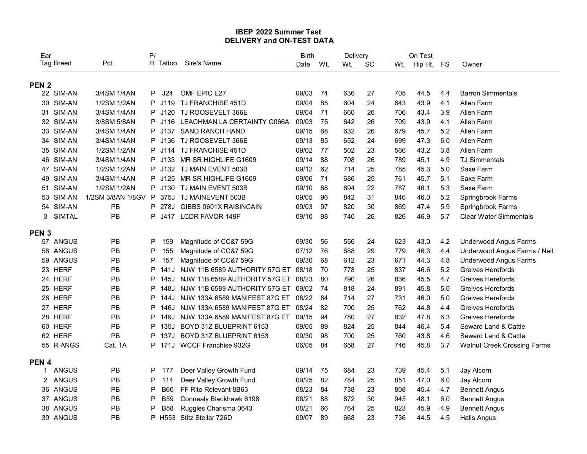## IBEP 2022 Summer Test DELIVERY and ON-TEST DATA

|                  |                        |                            |                        | <b>IBEP 2022 Summer Test</b><br><b>DELIVERY and ON-TEST DATA</b>           |                      |              |                 |          |            |                           |            |                                        |
|------------------|------------------------|----------------------------|------------------------|----------------------------------------------------------------------------|----------------------|--------------|-----------------|----------|------------|---------------------------|------------|----------------------------------------|
| Ear              | <b>Tag Breed</b>       | Pct                        | P/                     | H Tattoo Sire's Name                                                       | <b>Birth</b><br>Date | Wt.          | Delivery<br>Wt. | SC       |            | On Test<br>Wt. Hip Ht. FS |            | Owner                                  |
| <b>PEN 2</b>     |                        |                            |                        |                                                                            |                      |              |                 |          |            |                           |            |                                        |
|                  | 22 SIM-AN              | 3/4SM 1/4AN                | P<br>J24               | OMF EPIC E27                                                               | 09/03                | -74          | 636             | 27       | 705        | 44.5                      | 4.4        | <b>Barron Simmentals</b>               |
|                  | 30 SIM-AN              | 1/2SM 1/2AN                | P J119                 | TJ FRANCHISE 451D                                                          | 09/04                | 85           | 604             | 24       | 643        | 43.9                      | 4.1        | Allen Farm                             |
|                  | 31 SIM-AN              | 3/4SM 1/4AN                |                        | P J120 TJ ROOSEVELT 366E                                                   | 09/04                | - 71         | 660             | 26       | 706        | 43.4                      | 3.9        | Allen Farm                             |
|                  | 32 SIM-AN<br>33 SIM-AN | 3/8SM 5/8AN<br>3/4SM 1/4AN | P J116<br>P J137       | LEACHMAN LA CERTAINTY G066A<br><b>SAND RANCH HAND</b>                      | 09/03<br>09/15       | - 75<br>68   | 642<br>632      | 26<br>26 | 709<br>679 | 43.9<br>45.7              | 4.1<br>5.2 | Allen Farm<br>Allen Farm               |
|                  | 34 SIM-AN              | 3/4SM 1/4AN                | P J136                 | TJ ROOSEVELT 366E                                                          | 09/13                | 85           | 652             | 24       | 699        | 47.3                      | 6.0        | Allen Farm                             |
|                  | 35 SIM-AN              | 1/2SM 1/2AN                | P.<br>J114             | TJ FRANCHISE 451D                                                          | 09/02                | - 77         | 502             | 23       | 566        | 43.2                      | 3.8        | Allen Farm                             |
|                  | 46 SIM-AN              | 3/4SM 1/4AN                | P<br>J133              | MR SR HIGHLIFE G1609                                                       | 09/14                | - 88         | 708             | 26       | 789        | 45.1                      | 4.9        | <b>TJ Simmentals</b>                   |
|                  | 47 SIM-AN              | 1/2SM 1/2AN                |                        | P J132 TJ MAIN EVENT 503B                                                  | 09/12 62             |              | 714             | 25       | 785        | 45.3                      | 5.0        | Saxe Farm                              |
|                  | 49 SIM-AN              | 3/4SM 1/4AN                | J125                   | MR SR HIGHLIFE G1609                                                       | 09/06                | - 71         | 686             | 25       | 761        | 45.7                      | 5.1        | Saxe Farm                              |
|                  | 51 SIM-AN              | 1/2SM 1/2AN                |                        | P J130 TJ MAIN EVENT 503B                                                  | 09/10                | 68           | 694             | 22       | 787        | 46.1                      | 5.3        | Saxe Farm                              |
| 53               | SIM-AN                 | 1/2SM 3/8AN 1/8GV P        | 375J                   | TJ MAINEVENT 503B                                                          | 09/05                | 96           | 842             | 31       | 846        | 46.0                      | 5.2        | Springbrook Farms                      |
| 54               | SIM-AN                 | <b>PB</b>                  | P 278J                 | GIBBS 0601X RAISINCAIN                                                     | 09/03                | 97           | 820             | 30       | 869        | 47.4                      | 5.9        | Springbrook Farms                      |
| 3                | <b>SIMTAL</b>          | PB                         | P J417                 | <b>LCDR FAVOR 149F</b>                                                     | 09/10                | 98           | 740             | 26       | 826        | 46.9                      | 5.7        | <b>Clear Water Simmentals</b>          |
| <b>PEN 3</b>     |                        |                            |                        |                                                                            |                      |              |                 |          |            |                           |            |                                        |
|                  | 57 ANGUS               | PB                         | P<br>159               | Magnitude of CC&7 59G                                                      | 09/30                | 56           | 556             | 24       | 623        | 43.0                      | 4.2        | <b>Underwood Angus Farms</b>           |
|                  | 58 ANGUS               | <b>PB</b>                  | P<br>155               | Magnitude of CC&7 59G                                                      | 07/12                | 76           | 688             | 29       | 779        | 46.3                      | 4.4        | Underwood Angus Farms / Neil           |
| 59               | ANGUS                  | <b>PB</b>                  | P<br>157               | Magnitude of CC&7 59G                                                      | 09/30                | 68           | 612             | 23       | 671        | 44.3                      | 4.8        | <b>Underwood Angus Farms</b>           |
|                  | 23 HERF<br>24 HERF     | <b>PB</b><br>PB            | P<br>141J<br>P<br>145J | NJW 11B 6589 AUTHORITY 57G ET 08/18<br>NJW 11B 6589 AUTHORITY 57G ET 08/23 |                      | - 70<br>- 80 | 778             | 25       | 837        | 46.6                      | 5.2<br>4.7 | Greives Herefords<br>Greives Herefords |
|                  | 25 HERF                | PB                         | P<br>148J              | NJW 11B 6589 AUTHORITY 57G ET 09/02 74                                     |                      |              | 790<br>818      | 26<br>24 | 836<br>891 | 45.5<br>45.8              | 5.0        | Greives Herefords                      |
|                  | 26 HERF                | PB                         | P 144J                 | NJW 133A 6589 MANIFEST 87G ET 08/22 84                                     |                      |              | 714             | 27       | 731        | 46.0                      | 5.0        | Greives Herefords                      |
|                  | 27 HERF                | <b>PB</b>                  | P 146J                 | NJW 133A 6589 MANIFEST 87G ET 08/24                                        |                      | - 82         | 700             | 25       | 762        | 44.8                      | 4.4        | Greives Herefords                      |
|                  | 28 HERF                | <b>PB</b>                  | P 149J                 | NJW 133A 6589 MANIFEST 87G ET                                              | 09/15 94             |              | 780             | 27       | 832        | 47.8                      | 6.3        | Greives Herefords                      |
|                  | 60 HERF                | PB                         | P 135J                 | BOYD 31Z BLUEPRINT 6153                                                    | 09/05                | 89           | 824             | 25       | 844        | 46.4                      | 5.4        | Seward Land & Cattle                   |
|                  | 62 HERF                | PB                         | P 137J                 | BOYD 31Z BLUEPRINT 6153                                                    | 09/30                | 98           | 700             | 25       | 760        | 43.8                      | 4.6        | Seward Land & Cattle                   |
|                  | 55 R ANGS              | Cat. 1A                    | P 171J                 | WCCF Franchise 932G                                                        | 06/05                | 84           | 658             | 27       | 746        | 45.8                      | 3.7        | <b>Walnut Creek Crossing Farms</b>     |
| PEN <sub>4</sub> |                        |                            |                        |                                                                            |                      |              |                 |          |            |                           |            |                                        |
| $\mathbf{1}$     | ANGUS                  | PB                         | P 177                  | Deer Valley Growth Fund                                                    | 09/14                | 75           | 684             | 23       | 739        | 45.4                      | 5.1        | Jay Alcorn                             |
|                  | 2 ANGUS                | <b>PB</b>                  | P<br>114               | Deer Valley Growth Fund                                                    | 09/25                | 82           | 784             | 25       | 851        | 47.0                      | 6.0        | Jay Alcorn                             |
|                  | 36 ANGUS               | <b>PB</b>                  | P<br><b>B60</b>        | FF Rito Relevant 8B63                                                      | 08/23                | 84           | 738             | 23       | 808        | 45.4                      | 4.7        | <b>Bennett Angus</b>                   |
|                  | 37 ANGUS               | PB                         | P<br><b>B59</b>        | Connealy Blackhawk 6198                                                    | 08/21                | 88           | 872             | 30       | 945        | 48.1                      | 6.0        | <b>Bennett Angus</b>                   |
|                  | 38 ANGUS               | PB                         | P<br><b>B58</b>        | Ruggles Charisma 0643                                                      | 08/21                | 66           | 764             | 25       | 823        | 45.9                      | 4.9        | <b>Bennett Angus</b>                   |
|                  | 39 ANGUS               | PB                         | P H553                 | Stitz Stellar 726D                                                         | 09/07                | 89           | 668             | 23       | 736        | 44.5                      | 4.5        | <b>Halls Angus</b>                     |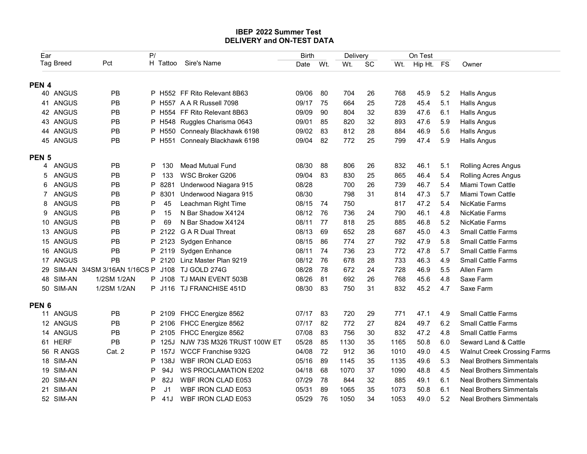## IBEP 2022 Summer Test DELIVERY and ON-TEST DATA

|                  |                      |                                   |             |      | IBEP 2022 Summer Test<br><b>DELIVERY and ON-TEST DATA</b> |                      |      |                 |              |            |                           |            |                                                        |
|------------------|----------------------|-----------------------------------|-------------|------|-----------------------------------------------------------|----------------------|------|-----------------|--------------|------------|---------------------------|------------|--------------------------------------------------------|
| Ear              | Tag Breed            | Pct                               | P/          |      | H Tattoo Sire's Name                                      | <b>Birth</b><br>Date | Wt.  | Delivery<br>Wt. | SC           |            | On Test<br>Wt. Hip Ht. FS |            | Owner                                                  |
|                  |                      |                                   |             |      |                                                           |                      |      |                 |              |            |                           |            |                                                        |
| PEN <sub>4</sub> | 40 ANGUS             | <b>PB</b>                         |             |      | P H552 FF Rito Relevant 8B63                              | 09/06                | 80   | 704             | 26           | 768        | 45.9                      | 5.2        | <b>Halls Angus</b>                                     |
|                  | 41 ANGUS             | <b>PB</b>                         |             |      | P H557 A A R Russell 7098                                 | 09/17                | - 75 | 664             | 25           | 728        | 45.4                      | 5.1        | <b>Halls Angus</b>                                     |
|                  | 42 ANGUS             | <b>PB</b>                         |             |      | P H554 FF Rito Relevant 8B63                              | 09/09                | -90  | 804             | 32           | 839        | 47.6                      | 6.1        | <b>Halls Angus</b>                                     |
|                  | 43 ANGUS             | <b>PB</b>                         |             |      | P H548 Ruggles Charisma 0643                              | 09/01                | 85   | 820             | 32           | 893        | 47.6                      | 5.9        | <b>Halls Angus</b>                                     |
|                  | 44 ANGUS             | <b>PB</b>                         |             |      | P H550 Connealy Blackhawk 6198                            | 09/02                | 83   | 812             | 28           | 884        | 46.9                      | 5.6        | <b>Halls Angus</b>                                     |
|                  | 45 ANGUS             | <b>PB</b>                         |             |      | P H551 Connealy Blackhawk 6198                            | 09/04                | 82   | 772             | 25           | 799        | 47.4                      | 5.9        | <b>Halls Angus</b>                                     |
| PEN <sub>5</sub> |                      |                                   |             |      |                                                           |                      |      |                 |              |            |                           |            |                                                        |
| 4                | ANGUS                | <b>PB</b>                         | P.          | 130  | <b>Mead Mutual Fund</b>                                   | 08/30                | 88   | 806             | 26           | 832        | 46.1                      | 5.1        | <b>Rolling Acres Angus</b>                             |
| 5<br>6           | ANGUS<br>ANGUS       | <b>PB</b><br><b>PB</b>            | P<br>P      | 133  | WSC Broker G206<br>Underwood Niagara 915                  | 09/04<br>08/28       | -83  | 830<br>700      | 25<br>26     | 865<br>739 | 46.4<br>46.7              | 5.4<br>5.4 | Rolling Acres Angus<br>Miami Town Cattle               |
|                  | 7 ANGUS              | PB                                | P           | 8281 | 8301 Underwood Niagara 915                                | 08/30                |      | 798             | 31           | 814        | 47.3                      | 5.7        | Miami Town Cattle                                      |
| 8                | ANGUS                | PB                                | P           | 45   | Leachman Right Time                                       | 08/15 74             |      | 750             |              | 817        | 47.2                      | 5.4        | NicKatie Farms                                         |
| 9                | ANGUS                | PB                                | P           | 15   | N Bar Shadow X4124                                        | 08/12 76             |      | 736             | 24           | 790        | 46.1                      | 4.8        | NicKatie Farms                                         |
|                  | 10 ANGUS             | PB                                | P           | 69   | N Bar Shadow X4124                                        | 08/11 77             |      | 818             | 25           | 885        | 46.8                      | 5.2        | NicKatie Farms                                         |
|                  | 13 ANGUS             | PB                                | P 2122      |      | G A R Dual Threat                                         | 08/13 69             |      | 652             | 28           | 687        | 45.0                      | 4.3        | Small Cattle Farms                                     |
|                  | 15 ANGUS             | <b>PB</b>                         | P 2123      |      | Sydgen Enhance                                            | 08/15 86             |      | 774             | 27           | 792        | 47.9                      | 5.8        | <b>Small Cattle Farms</b>                              |
|                  | 16 ANGUS             | PB                                | P 2119      |      | Sydgen Enhance                                            | 08/11 74             |      | 736             | 23           | 772        | 47.8                      | 5.7        | Small Cattle Farms                                     |
|                  | 17 ANGUS             | PB                                | P 2120      |      | Linz Master Plan 9219                                     | 08/12 76             |      | 678             | 28           | 733        | 46.3                      | 4.9        | Small Cattle Farms                                     |
| 29               |                      | SIM-AN 3/4SM 3/16AN 1/16CS P J108 |             |      | TJ GOLD 274G                                              | 08/28                | 78   | 672             | 24           | 728        | 46.9                      | 5.5        | Allen Farm                                             |
|                  | 48 SIM-AN            | 1/2SM 1/2AN                       | P J108      |      | TJ MAIN EVENT 503B                                        | 08/26                | 81   | 692             | 26           | 768        | 45.6                      | 4.8        | Saxe Farm                                              |
|                  | 50 SIM-AN            | 1/2SM 1/2AN                       |             |      | P J116 TJ FRANCHISE 451D                                  | 08/30 83             |      | 750             | 31           | 832        | 45.2                      | 4.7        | Saxe Farm                                              |
| PEN <sub>6</sub> |                      |                                   |             |      |                                                           |                      |      |                 |              |            |                           |            |                                                        |
|                  | 11 ANGUS<br>12 ANGUS | PB                                | P 2109      |      | FHCC Energize 8562                                        | 07/17 83<br>07/17 82 |      | 720             | 29           | 771        | 47.1                      | 4.9        | <b>Small Cattle Farms</b><br><b>Small Cattle Farms</b> |
|                  | 14 ANGUS             | PB<br>PB                          | P 2106<br>P | 2105 | FHCC Energize 8562<br>FHCC Energize 8562                  | 07/08                | 83   | 772<br>756      | 27<br>$30\,$ | 824<br>832 | 49.7<br>47.2              | 6.2<br>4.8 | Small Cattle Farms                                     |
|                  | 61 HERF              | PB                                | P           | 125J | NJW 73S M326 TRUST 100W ET                                | 05/28                | 85   | 1130            | 35           | 1165       | 50.8                      | 6.0        | Seward Land & Cattle                                   |
|                  | 56 R ANGS            | Cat. 2                            | P 157J      |      | WCCF Franchise 932G                                       | 04/08                | 72   | 912             | 36           | 1010       | 49.0                      | 4.5        | <b>Walnut Creek Crossing Farms</b>                     |
|                  | 18 SIM-AN            |                                   | P           | 138J | WBF IRON CLAD E053                                        | 05/16 89             |      | 1145            | 35           | 1135       | 49.6                      | 5.3        | <b>Neal Brothers Simmentals</b>                        |
|                  | 19 SIM-AN            |                                   | P           | 94J  | <b>WS PROCLAMATION E202</b>                               | 04/18 68             |      | 1070            | 37           | 1090       | 48.8                      | 4.5        | <b>Neal Brothers Simmentals</b>                        |
|                  | 20 SIM-AN            |                                   | P           | 82J  | WBF IRON CLAD E053                                        | 07/29                | 78   | 844             | 32           | 885        | 49.1                      | 6.1        | <b>Neal Brothers Simmentals</b>                        |
|                  | SIM-AN               |                                   | P           | J1   | WBF IRON CLAD E053                                        | 05/31                | 89   | 1065            | 35           | 1073       | 50.8                      | 6.1        | <b>Neal Brothers Simmentals</b>                        |
| 21               | 52 SIM-AN            |                                   | P           | 41J  | WBF IRON CLAD E053                                        | 05/29                | 76   | 1050            | 34           | 1053       | 49.0                      | 5.2        | <b>Neal Brothers Simmentals</b>                        |